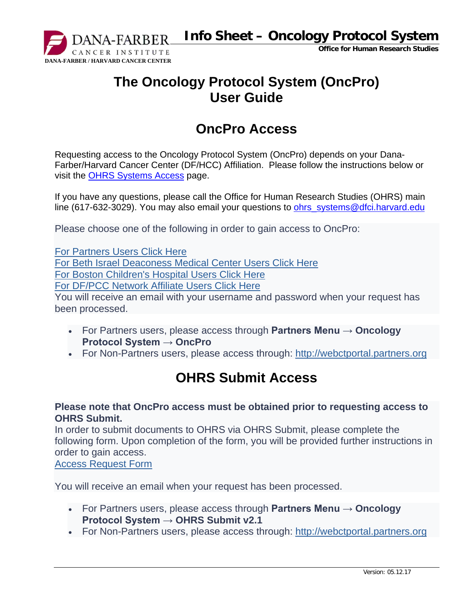

**Info Sheet – Oncology Protocol System**

**Office for Human Research Studies**

## **The Oncology Protocol System (OncPro) User Guide**

### **OncPro Access**

Requesting access to the Oncology Protocol System (OncPro) depends on your Dana-Farber/Harvard Cancer Center (DF/HCC) Affiliation. Please follow the instructions below or visit the [OHRS Systems Access](http://www.dfhcc.harvard.edu/research/clinical-research-support/office-for-human-research-studies/system-access/) page.

If you have any questions, please call the Office for Human Research Studies (OHRS) main line (617-632-3029). You may also email your questions to ohrs systems@dfci.harvard.edu

Please choose one of the following in order to gain access to OncPro:

[For Partners Users Click Here](http://webctportal.partners.org/admin/ctmsnewwebuserform.asp) [For Beth Israel Deaconess Medical Center Users Click Here](mailto:abroberg@bidmc.harvard.edu?Subject=%20New%20OncPro%20User%20Request&body=Please%20provide%20your%0D%0AFirst%20Name:%0D%0ALast%20Name:%0D%0AEmail:%0D%0AUsername:%0D%0AInstitution:) [For Boston Children's Hospital Users Click Here](mailto:connie.dinning@childrens.harvard.edu?Subject=%20New%20OncPro%20User%20Request&body=Please%20provide%20your%0D%0AFirst%20Name:%0D%0ALast%20Name:%0D%0AEmail:%0D%0AUsername:%0D%0AInstitution:) [For DF/PCC Network Affiliate Users Click Here](mailto:dfpccaffiliates@dfci.harvard.edu?Subject=%20New%20OncPro%20User%20Request&body=Please%20provide%20your%0D%0AFirst%20Name:%0D%0ALast%20Name:%0D%0AEmail:%0D%0AUsername:%0D%0AInstitution:) You will receive an email with your username and password when your request has been processed.

- For Partners users, please access through **Partners Menu → Oncology Protocol System → OncPro**
- For Non-Partners users, please access through: [http://webctportal.partners.org](http://webctportal.partners.org/)

### **OHRS Submit Access**

### **Please note that OncPro access must be obtained prior to requesting access to OHRS Submit.**

In order to submit documents to OHRS via OHRS Submit, please complete the following form. Upon completion of the form, you will be provided further instructions in order to gain access.

[Access Request Form](http://www.dfhcc.harvard.edu/crs-resources/OHRS_Documents/01_-_Forms/OHRS_Submit_Instructions.pdf)

You will receive an email when your request has been processed.

- For Partners users, please access through **Partners Menu → Oncology Protocol System → OHRS Submit v2.1**
- For Non-Partners users, please access through: [http://webctportal.partners.org](http://webctportal.partners.org/)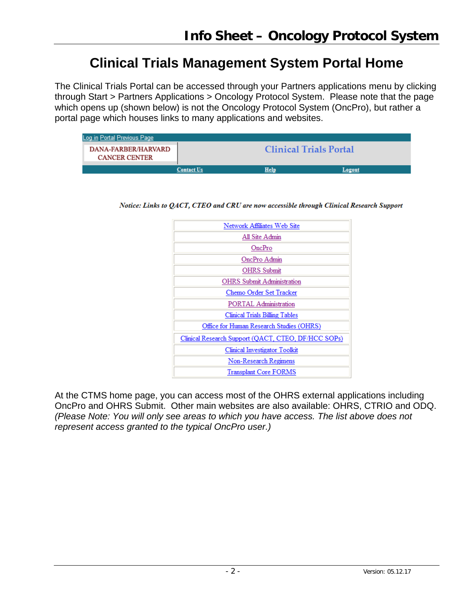### **Clinical Trials Management System Portal Home**

The Clinical Trials Portal can be accessed through your Partners applications menu by clicking through Start > Partners Applications > Oncology Protocol System. Please note that the page which opens up (shown below) is not the Oncology Protocol System (OncPro), but rather a portal page which houses links to many applications and websites.

| Log in Portal Previous Page                 |                   |                               |        |
|---------------------------------------------|-------------------|-------------------------------|--------|
| DANA-FARBER/HARVARD<br><b>CANCER CENTER</b> |                   | <b>Clinical Trials Portal</b> |        |
|                                             | <b>Contact Us</b> | Help                          | Logout |

Notice: Links to QACT, CTEO and CRU are now accessible through Clinical Research Support

| Network Affiliates Web Site                         |
|-----------------------------------------------------|
| All Site Admin                                      |
| OncPro                                              |
| OncPro Admin                                        |
| <b>OHRS</b> Submit                                  |
| <b>OHRS</b> Submit Administration                   |
| Chemo Order Set Tracker                             |
| PORTAL Administration                               |
| Clinical Trials Billing Tables                      |
| Office for Human Research Studies (OHRS)            |
| Clinical Research Support (QACT, CTEO, DF/HCC SOPs) |
| Clinical Investigator Toolkit                       |
| Non-Research Regimens                               |
| <b>Transplant Core FORMS</b>                        |

At the CTMS home page, you can access most of the OHRS external applications including OncPro and OHRS Submit. Other main websites are also available: OHRS, CTRIO and ODQ. *(Please Note: You will only see areas to which you have access. The list above does not represent access granted to the typical OncPro user.)*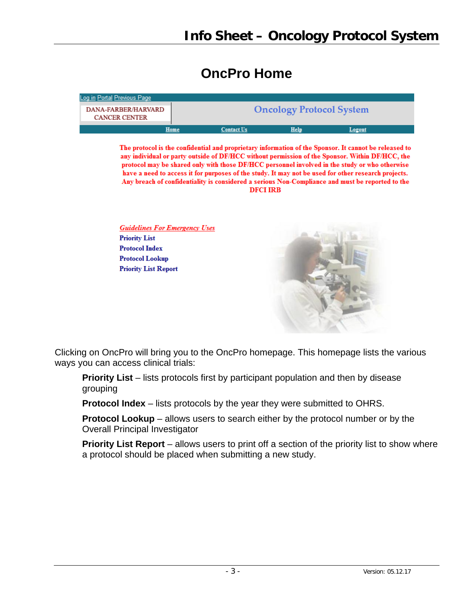### **OncPro Home**

| Log in Portal Previous Page                 |      |                   |                                 |        |
|---------------------------------------------|------|-------------------|---------------------------------|--------|
| DANA-FARBER/HARVARD<br><b>CANCER CENTER</b> |      |                   | <b>Oncology Protocol System</b> |        |
|                                             | Home | <b>Contact Us</b> | Help                            | Logout |

The protocol is the confidential and proprietary information of the Sponsor. It cannot be released to any individual or party outside of DF/HCC without permission of the Sponsor. Within DF/HCC, the protocol may be shared only with those DF/HCC personnel involved in the study or who otherwise have a need to access it for purposes of the study. It may not be used for other research projects. Any breach of confidentiality is considered a serious Non-Compliance and must be reported to the **DFCI IRB** 

**Guidelines For Emergency Uses Priority List Protocol Index Protocol Lookup Priority List Report** 



Clicking on OncPro will bring you to the OncPro homepage. This homepage lists the various ways you can access clinical trials:

**Priority List** – lists protocols first by participant population and then by disease grouping

**Protocol Index** – lists protocols by the year they were submitted to OHRS.

**Protocol Lookup** – allows users to search either by the protocol number or by the Overall Principal Investigator

**Priority List Report** – allows users to print off a section of the priority list to show where a protocol should be placed when submitting a new study.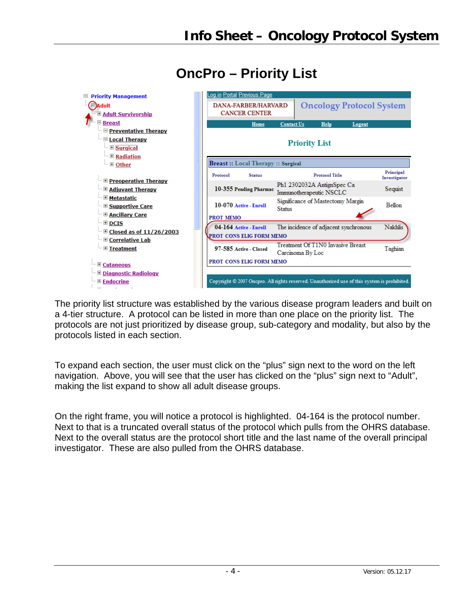

# **OncPro – Priority List**

The priority list structure was established by the various disease program leaders and built on a 4-tier structure. A protocol can be listed in more than one place on the priority list. The protocols are not just prioritized by disease group, sub-category and modality, but also by the protocols listed in each section.

To expand each section, the user must click on the "plus" sign next to the word on the left navigation. Above, you will see that the user has clicked on the "plus" sign next to "Adult", making the list expand to show all adult disease groups.

On the right frame, you will notice a protocol is highlighted. 04-164 is the protocol number. Next to that is a truncated overall status of the protocol which pulls from the OHRS database. Next to the overall status are the protocol short title and the last name of the overall principal investigator. These are also pulled from the OHRS database.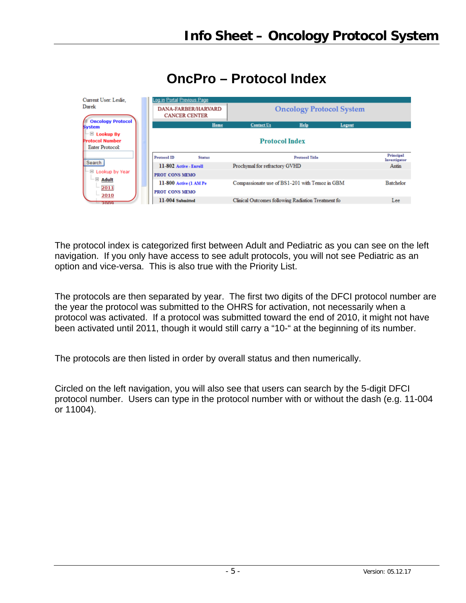| Current User: Leslie.<br>Darek                                                             |                                                 | Log in Portal Previous Page<br><b>Oncology Protocol System</b><br><b>DANA-FARBER/HARVARD</b><br><b>CANCER CENTER</b> |                                                    |                       |        |                           |  |
|--------------------------------------------------------------------------------------------|-------------------------------------------------|----------------------------------------------------------------------------------------------------------------------|----------------------------------------------------|-----------------------|--------|---------------------------|--|
| <b>E</b> Oncology Protocol<br><b>System</b>                                                |                                                 | Home                                                                                                                 | <b>Contact Us</b>                                  | Help                  | Logout |                           |  |
| $\blacksquare$ Lookup By<br>Protocol Number<br>Enter Protocol:                             |                                                 | <b>Protocol Index</b>                                                                                                |                                                    |                       |        |                           |  |
|                                                                                            | <b>Protocol ID</b>                              | <b>Status</b>                                                                                                        |                                                    | <b>Protocol Title</b> |        | Principal<br>Investigator |  |
| Search                                                                                     | 11-802 Active - Enroll                          |                                                                                                                      | Prochymal for refractory GVHD                      |                       |        | Antin                     |  |
| $\Box$ Lookup by Year                                                                      | <b>PROT CONS MEMO</b>                           |                                                                                                                      |                                                    |                       |        |                           |  |
| $\blacksquare$ $\blacksquare$ $\blacksquare$ $\blacksquare$ $\blacksquare$<br>2011<br>2010 | 11-800 Active (1 AM Pe<br><b>PROT CONS MEMO</b> |                                                                                                                      | Compassionate use of BS1-201 with Temoz in GBM     |                       |        | Batchelor                 |  |
| $-2009$                                                                                    | 11-004 Submitted                                |                                                                                                                      | Clinical Outcomes following Radiation Treatment fo |                       |        | Lee                       |  |

# **OncPro – Protocol Index**

The protocol index is categorized first between Adult and Pediatric as you can see on the left navigation. If you only have access to see adult protocols, you will not see Pediatric as an option and vice-versa. This is also true with the Priority List.

The protocols are then separated by year. The first two digits of the DFCI protocol number are the year the protocol was submitted to the OHRS for activation, not necessarily when a protocol was activated. If a protocol was submitted toward the end of 2010, it might not have been activated until 2011, though it would still carry a "10-" at the beginning of its number.

The protocols are then listed in order by overall status and then numerically.

Circled on the left navigation, you will also see that users can search by the 5-digit DFCI protocol number. Users can type in the protocol number with or without the dash (e.g. 11-004 or 11004).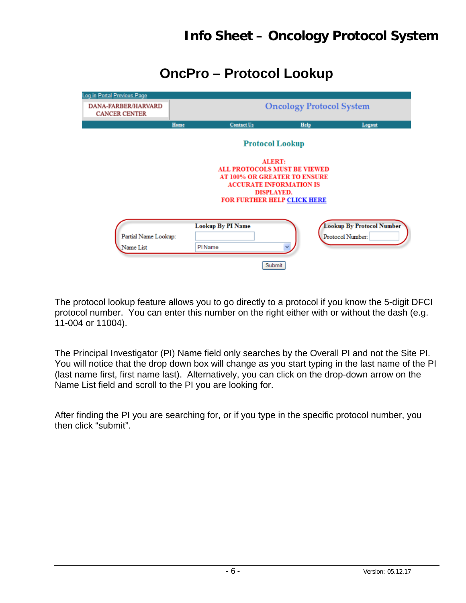**OncPro – Protocol Lookup**

| Log in Portal Previous Page                        |                                 |                                                                            |                                |                                  |  |  |  |  |  |
|----------------------------------------------------|---------------------------------|----------------------------------------------------------------------------|--------------------------------|----------------------------------|--|--|--|--|--|
| <b>DANA-FARBER/HARVARD</b><br><b>CANCER CENTER</b> | <b>Oncology Protocol System</b> |                                                                            |                                |                                  |  |  |  |  |  |
|                                                    | Home                            | <b>Contact Us</b>                                                          | Help                           | Logout                           |  |  |  |  |  |
|                                                    |                                 |                                                                            | <b>Protocol Lookup</b>         |                                  |  |  |  |  |  |
|                                                    |                                 |                                                                            | <b>ALERT:</b>                  |                                  |  |  |  |  |  |
|                                                    |                                 | <b>ALL PROTOCOLS MUST BE VIEWED</b><br><b>AT 100% OR GREATER TO ENSURE</b> |                                |                                  |  |  |  |  |  |
|                                                    |                                 |                                                                            | <b>ACCURATE INFORMATION IS</b> |                                  |  |  |  |  |  |
|                                                    |                                 |                                                                            | <b>DISPLAYED.</b>              |                                  |  |  |  |  |  |
|                                                    |                                 | <b>FOR FURTHER HELP CLICK HERE</b>                                         |                                |                                  |  |  |  |  |  |
|                                                    |                                 |                                                                            |                                |                                  |  |  |  |  |  |
|                                                    |                                 | <b>Lookup By PI Name</b>                                                   |                                | <b>Lookup By Protocol Number</b> |  |  |  |  |  |
| Partial Name Lookup:                               |                                 |                                                                            |                                | Protocol Number:                 |  |  |  |  |  |
| Name List                                          | PI Name                         |                                                                            |                                |                                  |  |  |  |  |  |
|                                                    |                                 |                                                                            | Submit                         |                                  |  |  |  |  |  |
|                                                    |                                 |                                                                            |                                |                                  |  |  |  |  |  |

The protocol lookup feature allows you to go directly to a protocol if you know the 5-digit DFCI protocol number. You can enter this number on the right either with or without the dash (e.g. 11-004 or 11004).

The Principal Investigator (PI) Name field only searches by the Overall PI and not the Site PI. You will notice that the drop down box will change as you start typing in the last name of the PI (last name first, first name last). Alternatively, you can click on the drop-down arrow on the Name List field and scroll to the PI you are looking for.

After finding the PI you are searching for, or if you type in the specific protocol number, you then click "submit".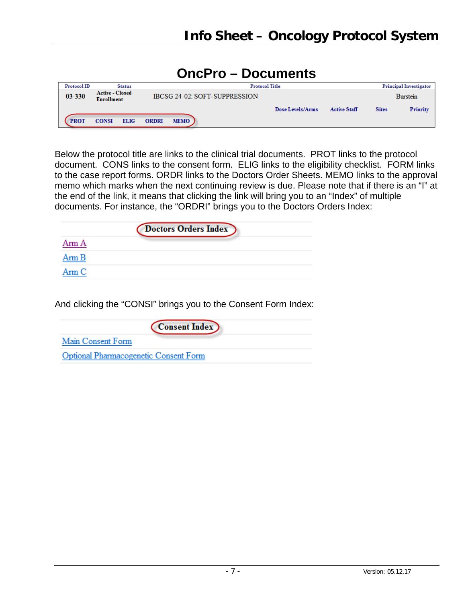### **OncPro – Documents** Protocol ID **Status Principal Investigator Active - Closed** 03-330 IBCSG 24-02: SOFT-SUPPRESSION **Burstein Enrollment Active Staff** Dose Levels/Arms **Sites Priority PROT CONSI ELIG ORDRI MEMO**

Below the protocol title are links to the clinical trial documents. PROT links to the protocol document. CONS links to the consent form. ELIG links to the eligibility checklist. FORM links to the case report forms. ORDR links to the Doctors Order Sheets. MEMO links to the approval memo which marks when the next continuing review is due. Please note that if there is an "I" at the end of the link, it means that clicking the link will bring you to an "Index" of multiple documents. For instance, the "ORDRI" brings you to the Doctors Orders Index:

|            | Doctors Orders Index |  |
|------------|----------------------|--|
| Arm A      |                      |  |
| Arm B      |                      |  |
| $A$ rm $C$ |                      |  |

And clicking the "CONSI" brings you to the Consent Form Index:

| <b>Consent Index</b>                  |
|---------------------------------------|
| Main Consent Form                     |
| Optional Pharmacogenetic Consent Form |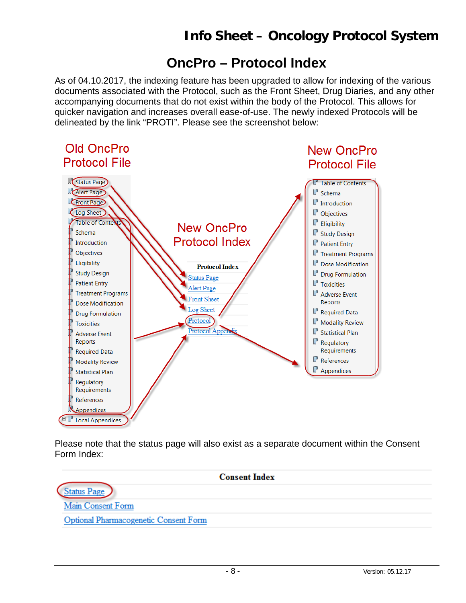## **OncPro – Protocol Index**

As of 04.10.2017, the indexing feature has been upgraded to allow for indexing of the various documents associated with the Protocol, such as the Front Sheet, Drug Diaries, and any other accompanying documents that do not exist within the body of the Protocol. This allows for quicker navigation and increases overall ease-of-use. The newly indexed Protocols will be delineated by the link "PROTI". Please see the screenshot below:



Please note that the status page will also exist as a separate document within the Consent Form Index:

|                                       | <b>Consent Index</b> |
|---------------------------------------|----------------------|
| Status Page                           |                      |
| Main Consent Form                     |                      |
| Optional Pharmacogenetic Consent Form |                      |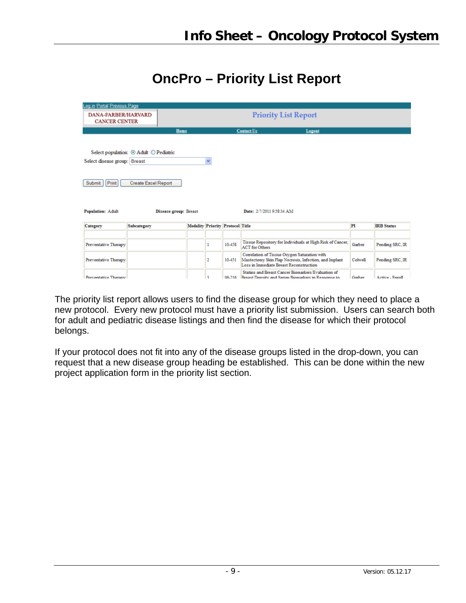## **OncPro – Priority List Report**

| Log in Portal Previous Page                                                                                                                                                                             |             |                                         |   |        |                                                                                                                                                  |         |                   |
|---------------------------------------------------------------------------------------------------------------------------------------------------------------------------------------------------------|-------------|-----------------------------------------|---|--------|--------------------------------------------------------------------------------------------------------------------------------------------------|---------|-------------------|
| <b>DANA-FARBER/HARVARD</b><br><b>CANCER CENTER</b>                                                                                                                                                      |             | <b>Priority List Report</b>             |   |        |                                                                                                                                                  |         |                   |
|                                                                                                                                                                                                         |             | Home                                    |   |        | <b>Contact Us</b><br>Logout                                                                                                                      |         |                   |
| Select population: ⊙ Adult ○ Pediatric<br>Select disease group: Breast<br>v<br>Print<br><b>Create Excel Report</b><br>Submit<br>Date: 2/7/2011 9:58:34 AM<br>Population: Adult<br>Disease group: Breast |             |                                         |   |        |                                                                                                                                                  |         |                   |
| Category                                                                                                                                                                                                | Subcategory | <b>Modality Priority Protocol Title</b> |   |        |                                                                                                                                                  | PI      | <b>IRB</b> Status |
| Preventative Therapy                                                                                                                                                                                    |             |                                         | 1 | 10-458 | Tissue Repository for Individuals at High Risk of Cancer;<br><b>ACT</b> for Others                                                               | Garber  | Pending SRC, IR   |
| Preventative Therapy                                                                                                                                                                                    |             |                                         | 2 | 10-451 | Correlation of Tissue Oxygen Saturation with<br>Mastectomy Skin Flap Necrosis, Infection, and Implant<br>Loss in Immediate Breast Reconstruction | Colwell | Pending SRC, IR   |
| Preventative Therany                                                                                                                                                                                    |             |                                         | ٩ |        | Statins and Breast Cancer Biomarkers/Evaluation of<br>06-216 Reeast Density and Senim Biomarkers in Response to                                  | Garber  | Active - Enroll   |

The priority list report allows users to find the disease group for which they need to place a new protocol. Every new protocol must have a priority list submission. Users can search both for adult and pediatric disease listings and then find the disease for which their protocol belongs.

If your protocol does not fit into any of the disease groups listed in the drop-down, you can request that a new disease group heading be established. This can be done within the new project application form in the priority list section.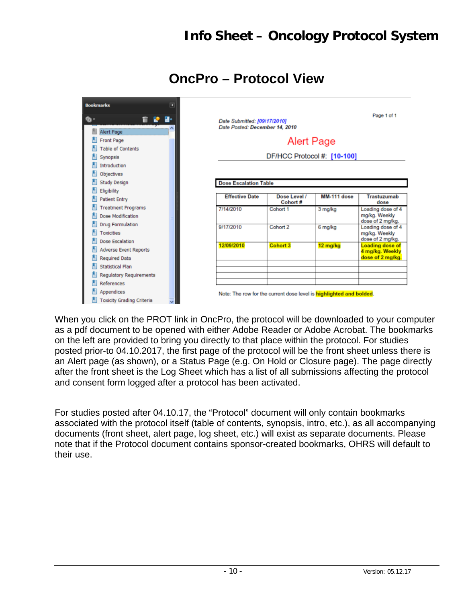

### **OncPro – Protocol View**

When you click on the PROT link in OncPro, the protocol will be downloaded to your computer as a pdf document to be opened with either Adobe Reader or Adobe Acrobat. The bookmarks on the left are provided to bring you directly to that place within the protocol. For studies posted prior-to 04.10.2017, the first page of the protocol will be the front sheet unless there is an Alert page (as shown), or a Status Page (e.g. On Hold or Closure page). The page directly after the front sheet is the Log Sheet which has a list of all submissions affecting the protocol and consent form logged after a protocol has been activated.

For studies posted after 04.10.17, the "Protocol" document will only contain bookmarks associated with the protocol itself (table of contents, synopsis, intro, etc.), as all accompanying documents (front sheet, alert page, log sheet, etc.) will exist as separate documents. Please note that if the Protocol document contains sponsor-created bookmarks, OHRS will default to their use.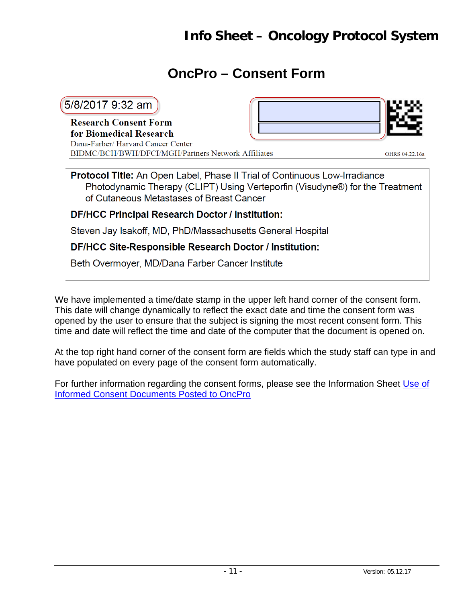### **OncPro – Consent Form**

### 5/8/2017 9:32 am

**Research Consent Form** for Biomedical Research Dana-Farber/ Harvard Cancer Center BIDMC/BCH/BWH/DFCI/MGH/Partners Network Affiliates



OHRS 04.22.16a

**Protocol Title:** An Open Label, Phase II Trial of Continuous Low-Irradiance Photodynamic Therapy (CLIPT) Using Verteporfin (Visudyne®) for the Treatment of Cutaneous Metastases of Breast Cancer

**DF/HCC Principal Research Doctor / Institution:** 

Steven Jay Isakoff, MD, PhD/Massachusetts General Hospital

DF/HCC Site-Responsible Research Doctor / Institution:

Beth Overmoyer, MD/Dana Farber Cancer Institute

We have implemented a time/date stamp in the upper left hand corner of the consent form. This date will change dynamically to reflect the exact date and time the consent form was opened by the user to ensure that the subject is signing the most recent consent form. This time and date will reflect the time and date of the computer that the document is opened on.

At the top right hand corner of the consent form are fields which the study staff can type in and have populated on every page of the consent form automatically.

For further information regarding the consent forms, please see the Information Sheet [Use of](http://www.dfhcc.harvard.edu/crs-resources/OHRS_Documents/02_-_Investigator_Resources/IS_-_Operations_-_Use_of_Informed_Consent_Documents_Posted_to_OncPro.pdf)  [Informed Consent Documents Posted to OncPro](http://www.dfhcc.harvard.edu/crs-resources/OHRS_Documents/02_-_Investigator_Resources/IS_-_Operations_-_Use_of_Informed_Consent_Documents_Posted_to_OncPro.pdf)